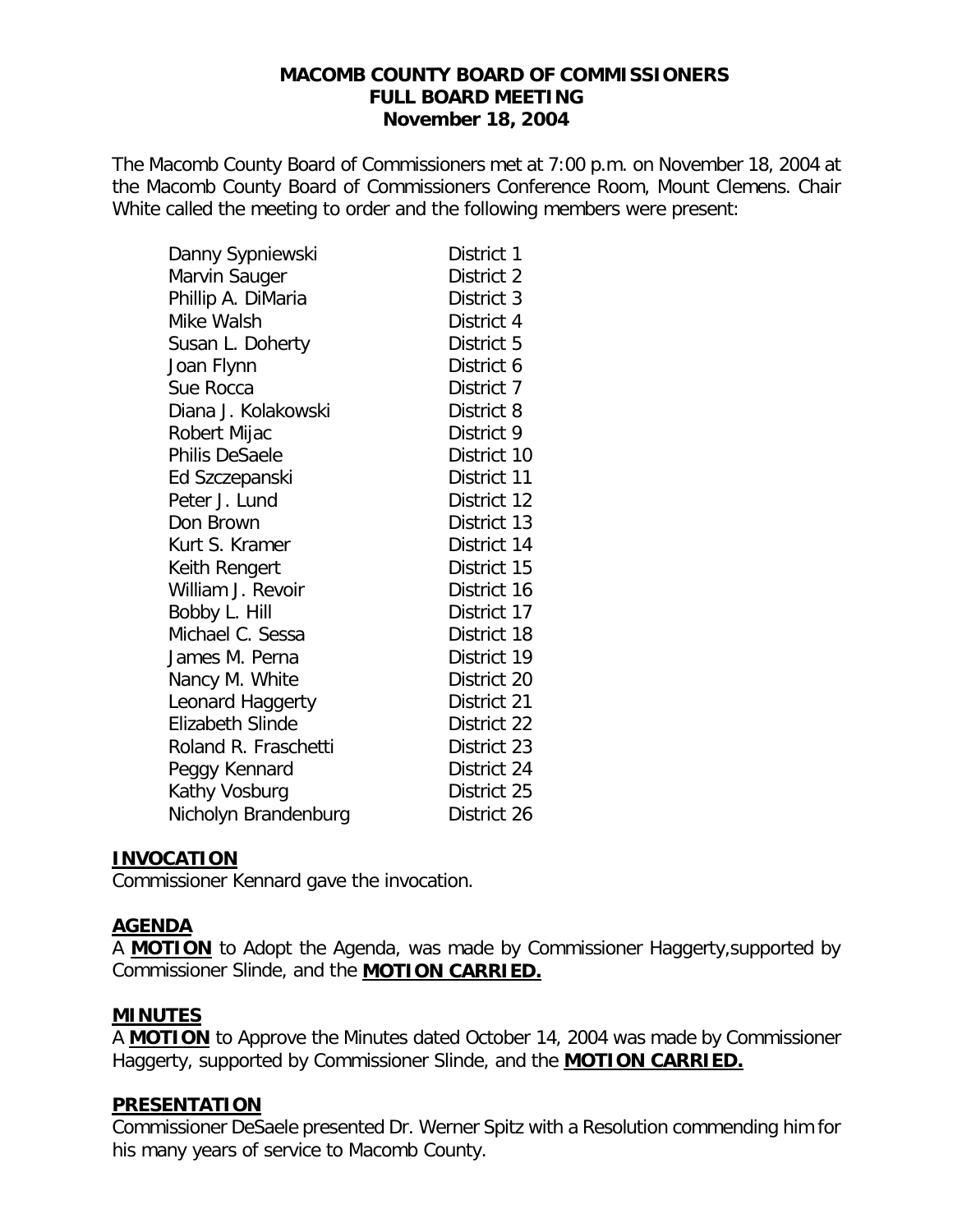The Macomb County Board of Commissioners met at 7:00 p.m. on November 18, 2004 at the Macomb County Board of Commissioners Conference Room, Mount Clemens. Chair White called the meeting to order and the following members were present:

| Danny Sypniewski        | District 1  |
|-------------------------|-------------|
| Marvin Sauger           | District 2  |
| Phillip A. DiMaria      | District 3  |
| Mike Walsh              | District 4  |
| Susan L. Doherty        | District 5  |
| Joan Flynn              | District 6  |
| Sue Rocca               | District 7  |
| Diana J. Kolakowski     | District 8  |
| Robert Mijac            | District 9  |
| Philis DeSaele          | District 10 |
| Ed Szczepanski          | District 11 |
| Peter J. Lund           | District 12 |
| Don Brown               | District 13 |
| Kurt S. Kramer          | District 14 |
| Keith Rengert           | District 15 |
| William J. Revoir       | District 16 |
| Bobby L. Hill           | District 17 |
| Michael C. Sessa        | District 18 |
| James M. Perna          | District 19 |
| Nancy M. White          | District 20 |
| Leonard Haggerty        | District 21 |
| <b>Elizabeth Slinde</b> | District 22 |
| Roland R. Fraschetti    | District 23 |
| Peggy Kennard           | District 24 |
| Kathy Vosburg           | District 25 |
| Nicholyn Brandenburg    | District 26 |

#### **INVOCATION**

Commissioner Kennard gave the invocation.

### **AGENDA**

A **MOTION** to Adopt the Agenda, was made by Commissioner Haggerty,supported by Commissioner Slinde, and the **MOTION CARRIED.**

### **MINUTES**

A **MOTION** to Approve the Minutes dated October 14, 2004 was made by Commissioner Haggerty, supported by Commissioner Slinde, and the **MOTION CARRIED.**

### **PRESENTATION**

Commissioner DeSaele presented Dr. Werner Spitz with a Resolution commending him for his many years of service to Macomb County.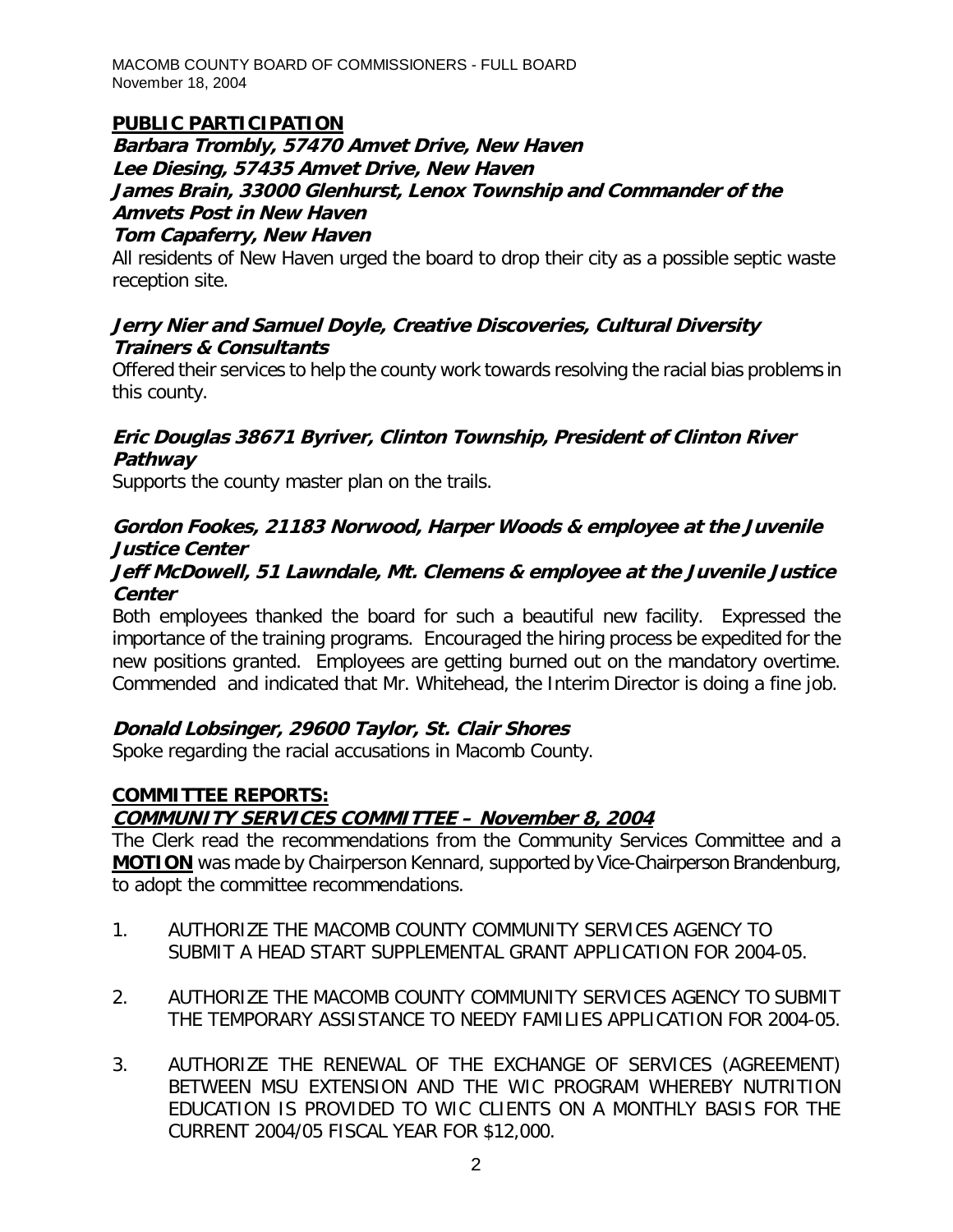# **PUBLIC PARTICIPATION**

**Barbara Trombly, 57470 Amvet Drive, New Haven Lee Diesing, 57435 Amvet Drive, New Haven James Brain, 33000 Glenhurst, Lenox Township and Commander of the Amvets Post in New Haven**

**Tom Capaferry, New Haven**

All residents of New Haven urged the board to drop their city as a possible septic waste reception site.

**Jerry Nier and Samuel Doyle, Creative Discoveries, Cultural Diversity Trainers & Consultants**

Offered their services to help the county work towards resolving the racial bias problems in this county.

**Eric Douglas 38671 Byriver, Clinton Township, President of Clinton River Pathway**

Supports the county master plan on the trails.

**Gordon Fookes, 21183 Norwood, Harper Woods & employee at the Juvenile Justice Center**

**Jeff McDowell, 51 Lawndale, Mt. Clemens & employee at the Juvenile Justice Center**

Both employees thanked the board for such a beautiful new facility. Expressed the importance of the training programs. Encouraged the hiring process be expedited for the new positions granted. Employees are getting burned out on the mandatory overtime. Commended and indicated that Mr. Whitehead, the Interim Director is doing a fine job.

**Donald Lobsinger, 29600 Taylor, St. Clair Shores** Spoke regarding the racial accusations in Macomb County.

# **COMMITTEE REPORTS:**

**COMMUNITY SERVICES COMMITTEE – November 8, 2004**

The Clerk read the recommendations from the Community Services Committee and a **MOTION** was made by Chairperson Kennard, supported by Vice-Chairperson Brandenburg, to adopt the committee recommendations.

- 1. AUTHORIZE THE MACOMB COUNTY COMMUNITY SERVICES AGENCY TO SUBMIT A HEAD START SUPPLEMENTAL GRANT APPLICATION FOR 2004-05.
- 2. AUTHORIZE THE MACOMB COUNTY COMMUNITY SERVICES AGENCY TO SUBMIT THE TEMPORARY ASSISTANCE TO NEEDY FAMILIES APPLICATION FOR 2004-05.
- 3. AUTHORIZE THE RENEWAL OF THE EXCHANGE OF SERVICES (AGREEMENT) BETWEEN MSU EXTENSION AND THE WIC PROGRAM WHEREBY NUTRITION EDUCATION IS PROVIDED TO WIC CLIENTS ON A MONTHLY BASIS FOR THE CURRENT 2004/05 FISCAL YEAR FOR \$12,000.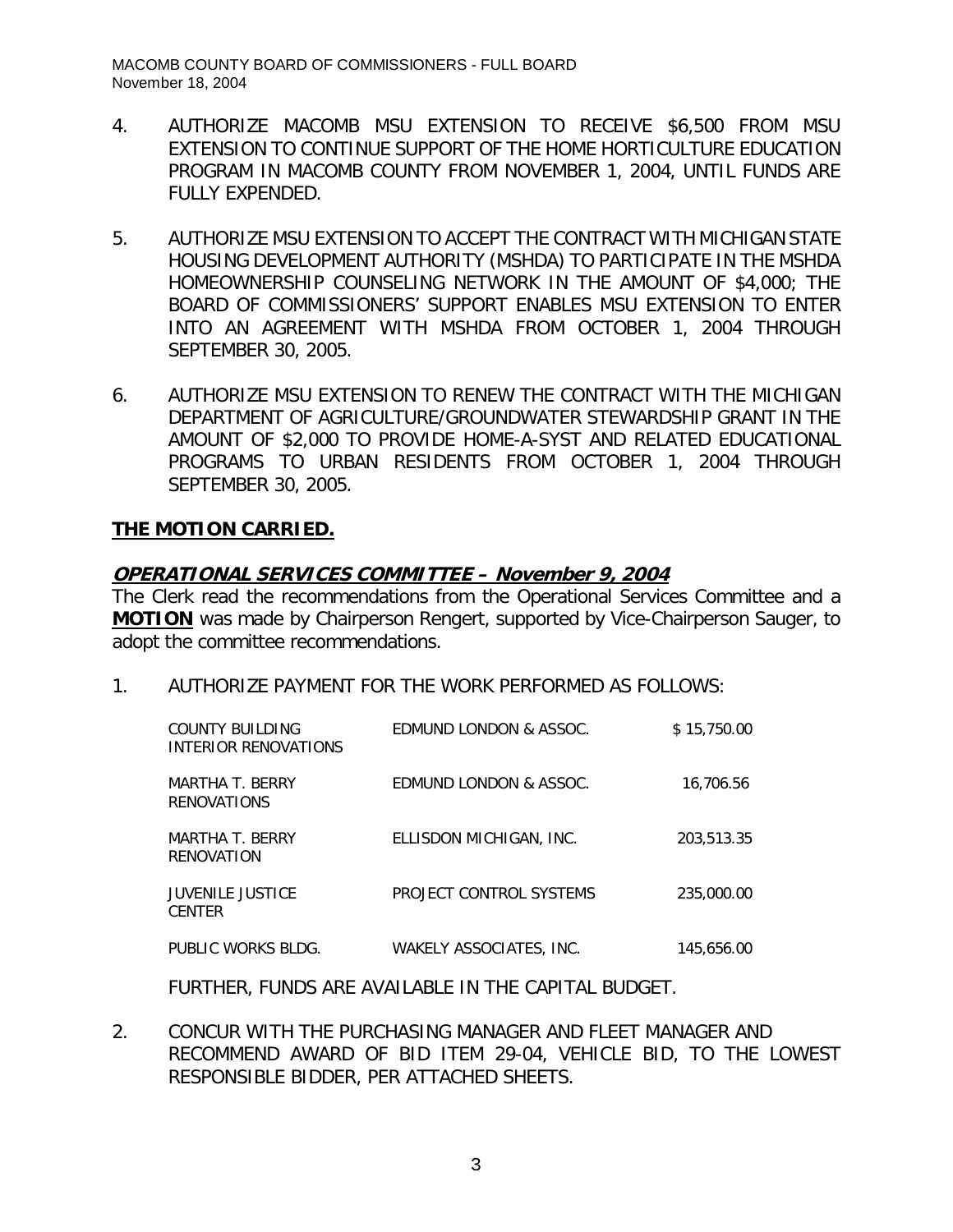- 4. AUTHORIZE MACOMB MSU EXTENSION TO RECEIVE \$6,500 FROM MSU EXTENSION TO CONTINUE SUPPORT OF THE HOME HORTICULTURE EDUCATION PROGRAM IN MACOMB COUNTY FROM NOVEMBER 1, 2004, UNTIL FUNDS ARE FULLY EXPENDED.
- 5. AUTHORIZE MSU EXTENSION TO ACCEPT THE CONTRACT WITH MICHIGAN STATE HOUSING DEVELOPMENT AUTHORITY (MSHDA) TO PARTICIPATE IN THE MSHDA HOMEOWNERSHIP COUNSELING NETWORK IN THE AMOUNT OF \$4,000; THE BOARD OF COMMISSIONERS' SUPPORT ENABLES MSU EXTENSION TO ENTER INTO AN AGREEMENT WITH MSHDA FROM OCTOBER 1, 2004 THROUGH SEPTEMBER 30, 2005.
- 6. AUTHORIZE MSU EXTENSION TO RENEW THE CONTRACT WITH THE MICHIGAN DEPARTMENT OF AGRICULTURE/GROUNDWATER STEWARDSHIP GRANT IN THE AMOUNT OF \$2,000 TO PROVIDE HOME-A-SYST AND RELATED EDUCATIONAL PROGRAMS TO URBAN RESIDENTS FROM OCTOBER 1, 2004 THROUGH SEPTEMBER 30, 2005.

## **THE MOTION CARRIED.**

### **OPERATIONAL SERVICES COMMITTEE – November 9, 2004**

The Clerk read the recommendations from the Operational Services Committee and a **MOTION** was made by Chairperson Rengert, supported by Vice-Chairperson Sauger, to adopt the committee recommendations.

1. AUTHORIZE PAYMENT FOR THE WORK PERFORMED AS FOLLOWS:

| COUNTY BUILDING<br>INTERIOR RENOVATIONS  | FDMUND LONDON & ASSOC.  | \$15,750.00 |
|------------------------------------------|-------------------------|-------------|
| MARTHA T. BERRY<br><b>RENOVATIONS</b>    | EDMUND LONDON & ASSOC.  | 16,706.56   |
| MARTHA T. BERRY<br>RENOVATION            | ELLISDON MICHIGAN, INC. | 203,513.35  |
| <b>JUVENILE JUSTICE</b><br><b>CENTER</b> | PROJECT CONTROL SYSTEMS | 235,000.00  |
| PUBLIC WORKS BLDG.                       | WAKELY ASSOCIATES, INC. | 145,656.00  |

FURTHER, FUNDS ARE AVAILABLE IN THE CAPITAL BUDGET.

2. CONCUR WITH THE PURCHASING MANAGER AND FLEET MANAGER AND RECOMMEND AWARD OF BID ITEM 29-04, VEHICLE BID, TO THE LOWEST RESPONSIBLE BIDDER, PER ATTACHED SHEETS.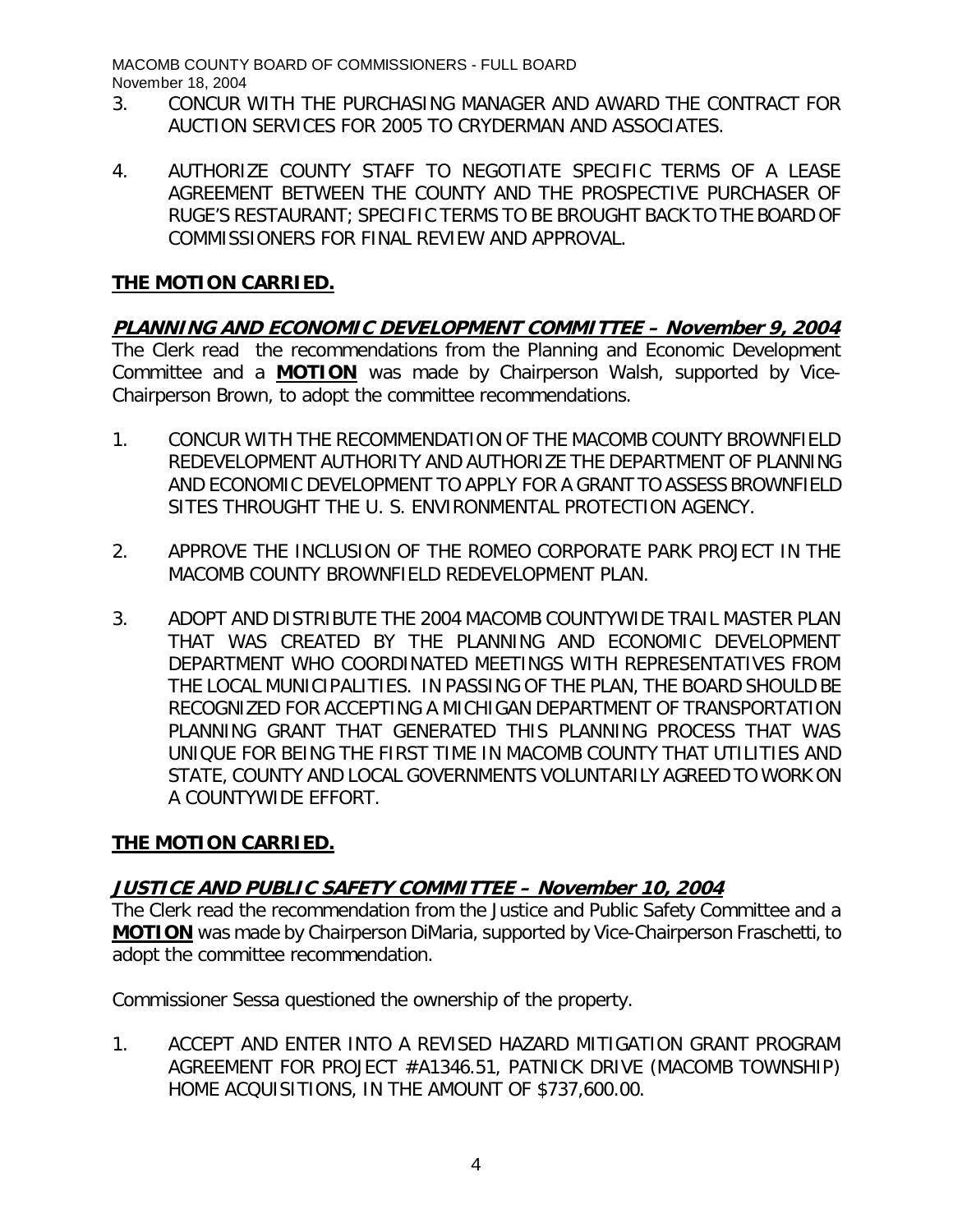- 3. CONCUR WITH THE PURCHASING MANAGER AND AWARD THE CONTRACT FOR AUCTION SERVICES FOR 2005 TO CRYDERMAN AND ASSOCIATES.
- 4. AUTHORIZE COUNTY STAFF TO NEGOTIATE SPECIFIC TERMS OF A LEASE AGREEMENT BETWEEN THE COUNTY AND THE PROSPECTIVE PURCHASER OF RUGE'S RESTAURANT; SPECIFIC TERMS TO BE BROUGHT BACK TO THE BOARD OF COMMISSIONERS FOR FINAL REVIEW AND APPROVAL.

## **THE MOTION CARRIED.**

**PLANNING AND ECONOMIC DEVELOPMENT COMMITTEE – November 9, 2004**  The Clerk read the recommendations from the Planning and Economic Development Committee and a **MOTION** was made by Chairperson Walsh, supported by Vice-Chairperson Brown, to adopt the committee recommendations.

- 1. CONCUR WITH THE RECOMMENDATION OF THE MACOMB COUNTY BROWNFIELD REDEVELOPMENT AUTHORITY AND AUTHORIZE THE DEPARTMENT OF PLANNING AND ECONOMIC DEVELOPMENT TO APPLY FOR A GRANT TO ASSESS BROWNFIELD SITES THROUGHT THE U. S. ENVIRONMENTAL PROTECTION AGENCY.
- 2. APPROVE THE INCLUSION OF THE ROMEO CORPORATE PARK PROJECT IN THE MACOMB COUNTY BROWNFIELD REDEVELOPMENT PLAN.
- 3. ADOPT AND DISTRIBUTE THE 2004 MACOMB COUNTYWIDE TRAIL MASTER PLAN THAT WAS CREATED BY THE PLANNING AND ECONOMIC DEVELOPMENT DEPARTMENT WHO COORDINATED MEETINGS WITH REPRESENTATIVES FROM THE LOCAL MUNICIPALITIES. IN PASSING OF THE PLAN, THE BOARD SHOULD BE RECOGNIZED FOR ACCEPTING A MICHIGAN DEPARTMENT OF TRANSPORTATION PLANNING GRANT THAT GENERATED THIS PLANNING PROCESS THAT WAS UNIQUE FOR BEING THE FIRST TIME IN MACOMB COUNTY THAT UTILITIES AND STATE, COUNTY AND LOCAL GOVERNMENTS VOLUNTARILY AGREED TO WORK ON A COUNTYWIDE EFFORT.

# **THE MOTION CARRIED.**

# **JUSTICE AND PUBLIC SAFETY COMMITTEE – November 10, 2004**

The Clerk read the recommendation from the Justice and Public Safety Committee and a **MOTION** was made by Chairperson DiMaria, supported by Vice-Chairperson Fraschetti, to adopt the committee recommendation.

Commissioner Sessa questioned the ownership of the property.

1. ACCEPT AND ENTER INTO A REVISED HAZARD MITIGATION GRANT PROGRAM AGREEMENT FOR PROJECT #A1346.51, PATNICK DRIVE (MACOMB TOWNSHIP) HOME ACQUISITIONS, IN THE AMOUNT OF \$737,600.00.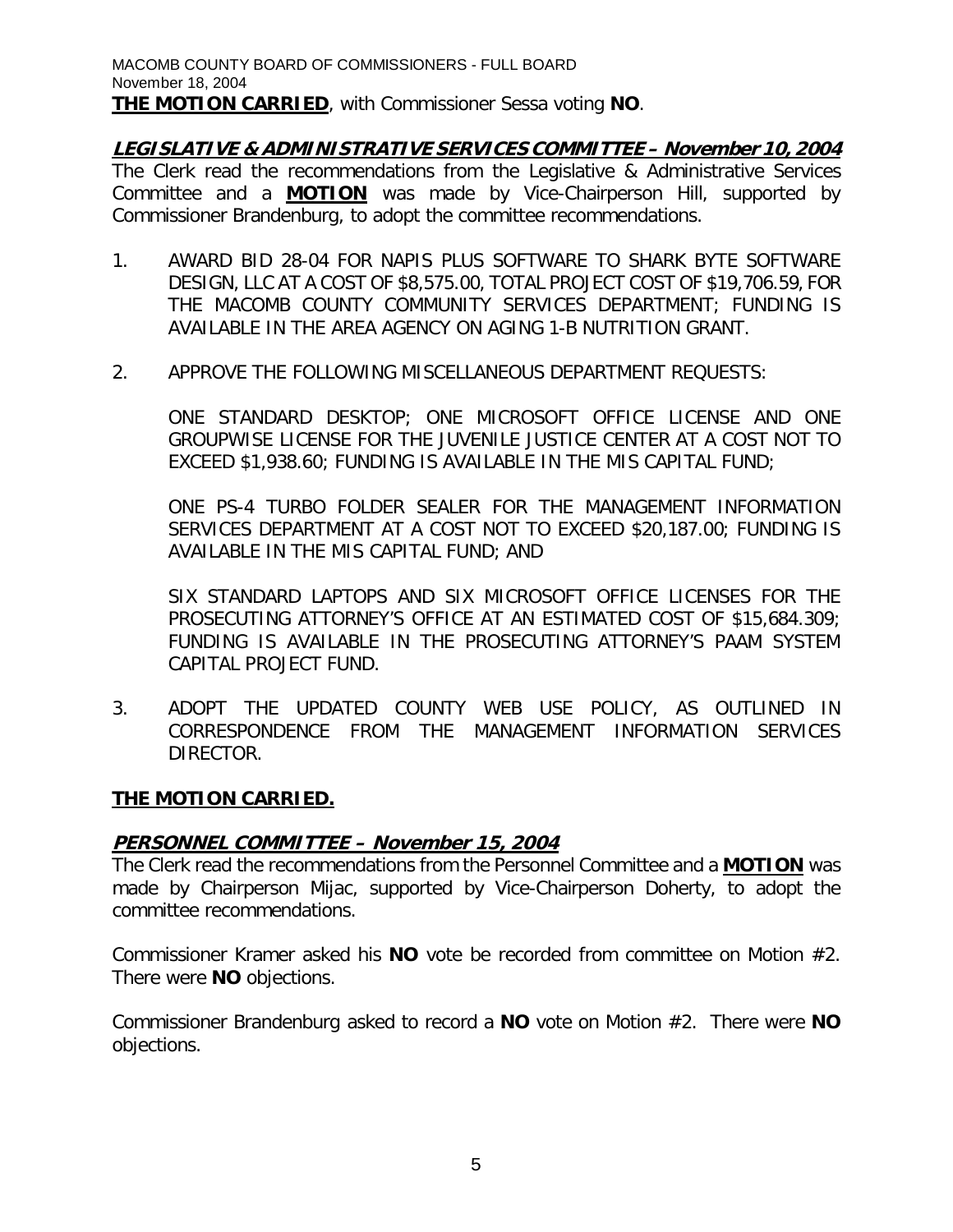**LEGISLATIVE & ADMINISTRATIVE SERVICES COMMITTEE – November 10, 2004** The Clerk read the recommendations from the Legislative & Administrative Services Committee and a **MOTION** was made by Vice-Chairperson Hill, supported by Commissioner Brandenburg, to adopt the committee recommendations.

- 1. AWARD BID 28-04 FOR NAPIS PLUS SOFTWARE TO SHARK BYTE SOFTWARE DESIGN, LLC AT A COST OF \$8,575.00, TOTAL PROJECT COST OF \$19,706.59, FOR THE MACOMB COUNTY COMMUNITY SERVICES DEPARTMENT; FUNDING IS AVAILABLE IN THE AREA AGENCY ON AGING 1-B NUTRITION GRANT.
- 2. APPROVE THE FOLLOWING MISCELLANEOUS DEPARTMENT REQUESTS:

ONE STANDARD DESKTOP; ONE MICROSOFT OFFICE LICENSE AND ONE GROUPWISE LICENSE FOR THE JUVENILE JUSTICE CENTER AT A COST NOT TO EXCEED \$1,938.60; FUNDING IS AVAILABLE IN THE MIS CAPITAL FUND;

ONE PS-4 TURBO FOLDER SEALER FOR THE MANAGEMENT INFORMATION SERVICES DEPARTMENT AT A COST NOT TO EXCEED \$20,187.00; FUNDING IS AVAILABLE IN THE MIS CAPITAL FUND; AND

SIX STANDARD LAPTOPS AND SIX MICROSOFT OFFICE LICENSES FOR THE PROSECUTING ATTORNEY'S OFFICE AT AN ESTIMATED COST OF \$15,684.309; FUNDING IS AVAILABLE IN THE PROSECUTING ATTORNEY'S PAAM SYSTEM CAPITAL PROJECT FUND.

3. ADOPT THE UPDATED COUNTY WEB USE POLICY, AS OUTLINED IN CORRESPONDENCE FROM THE MANAGEMENT INFORMATION SERVICES DIRECTOR.

# **THE MOTION CARRIED.**

### **PERSONNEL COMMITTEE – November 15, 2004**

The Clerk read the recommendations from the Personnel Committee and a **MOTION** was made by Chairperson Mijac, supported by Vice-Chairperson Doherty, to adopt the committee recommendations.

Commissioner Kramer asked his **NO** vote be recorded from committee on Motion #2. There were **NO** objections.

Commissioner Brandenburg asked to record a **NO** vote on Motion #2. There were **NO** objections.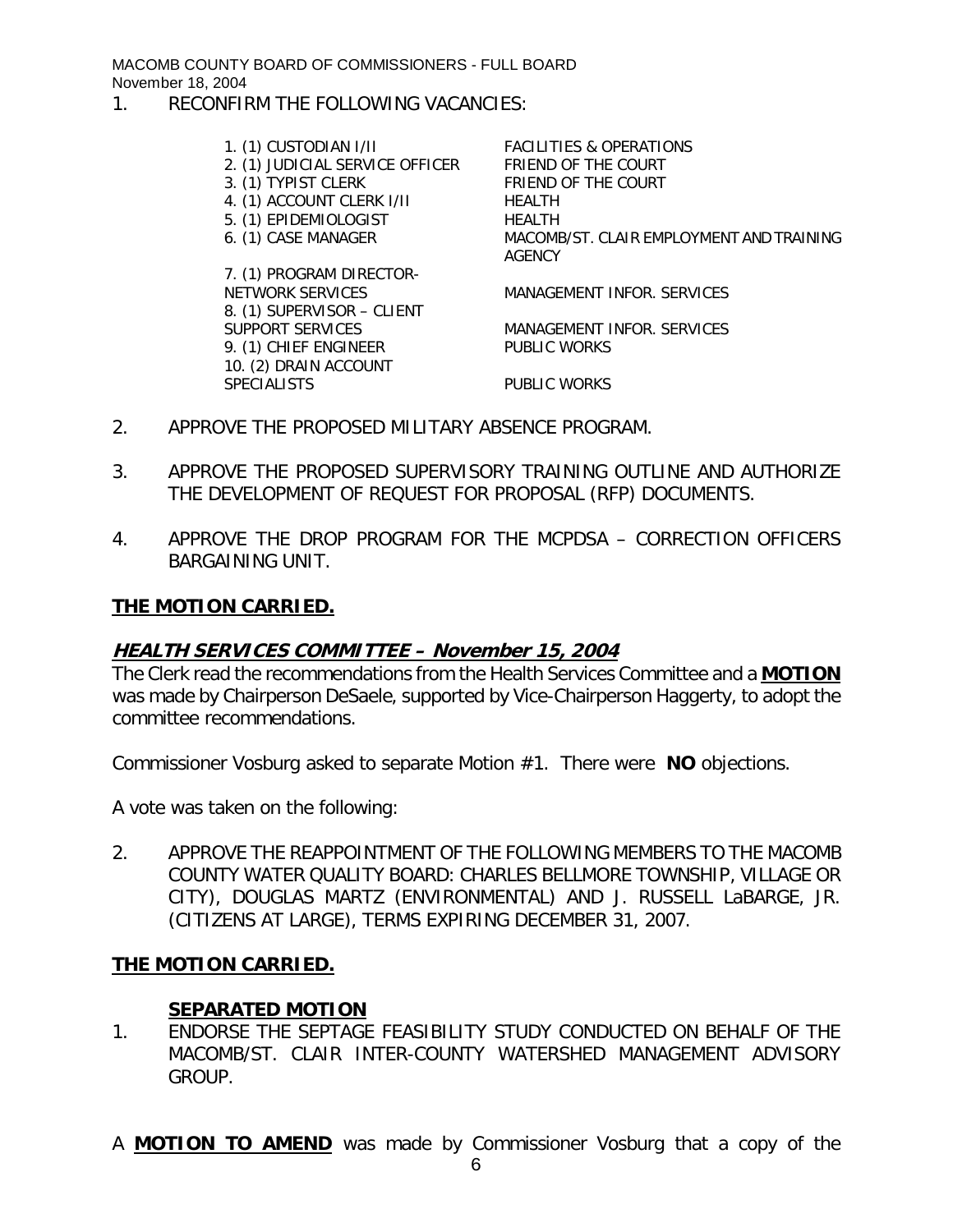1. RECONFIRM THE FOLLOWING VACANCIES:

1. (1) CUSTODIAN I/II FACILITIES & OPERATIONS 2. (1) JUDICIAL SERVICE OFFICER FRIEND OF THE COURT 3. (1) TYPIST CLERK FRIEND OF THE COURT 4. (1) ACCOUNT CLERK I/II HEALTH 5. (1) EPIDEMIOLOGIST HEALTH 6. (1) CASE MANAGER MACOMB/ST. CLAIR EMPLOYMENT AND TRAINING AGENCY 7. (1) PROGRAM DIRECTOR-NETWORK SERVICES MANAGEMENT INFOR. SERVICES 8. (1) SUPERVISOR – CLIENT SUPPORT SERVICES MANAGEMENT INFOR. SERVICES 9. (1) CHIEF ENGINEER PUBLIC WORKS 10. (2) DRAIN ACCOUNT

SPECIALISTS PUBLIC WORKS

- 2. APPROVE THE PROPOSED MILITARY ABSENCE PROGRAM.
- 3. APPROVE THE PROPOSED SUPERVISORY TRAINING OUTLINE AND AUTHORIZE THE DEVELOPMENT OF REQUEST FOR PROPOSAL (RFP) DOCUMENTS.
- 4. APPROVE THE DROP PROGRAM FOR THE MCPDSA CORRECTION OFFICERS BARGAINING UNIT.

### **THE MOTION CARRIED.**

#### **HEALTH SERVICES COMMITTEE – November 15, 2004**

The Clerk read the recommendations from the Health Services Committee and a **MOTION** was made by Chairperson DeSaele, supported by Vice-Chairperson Haggerty, to adopt the committee recommendations.

Commissioner Vosburg asked to separate Motion #1. There were **NO** objections.

A vote was taken on the following:

2. APPROVE THE REAPPOINTMENT OF THE FOLLOWING MEMBERS TO THE MACOMB COUNTY WATER QUALITY BOARD: CHARLES BELLMORE TOWNSHIP, VILLAGE OR CITY), DOUGLAS MARTZ (ENVIRONMENTAL) AND J. RUSSELL LaBARGE, JR. (CITIZENS AT LARGE), TERMS EXPIRING DECEMBER 31, 2007.

### **THE MOTION CARRIED.**

### **SEPARATED MOTION**

- 1. ENDORSE THE SEPTAGE FEASIBILITY STUDY CONDUCTED ON BEHALF OF THE MACOMB/ST. CLAIR INTER-COUNTY WATERSHED MANAGEMENT ADVISORY GROUP.
- A **MOTION TO AMEND** was made by Commissioner Vosburg that a copy of the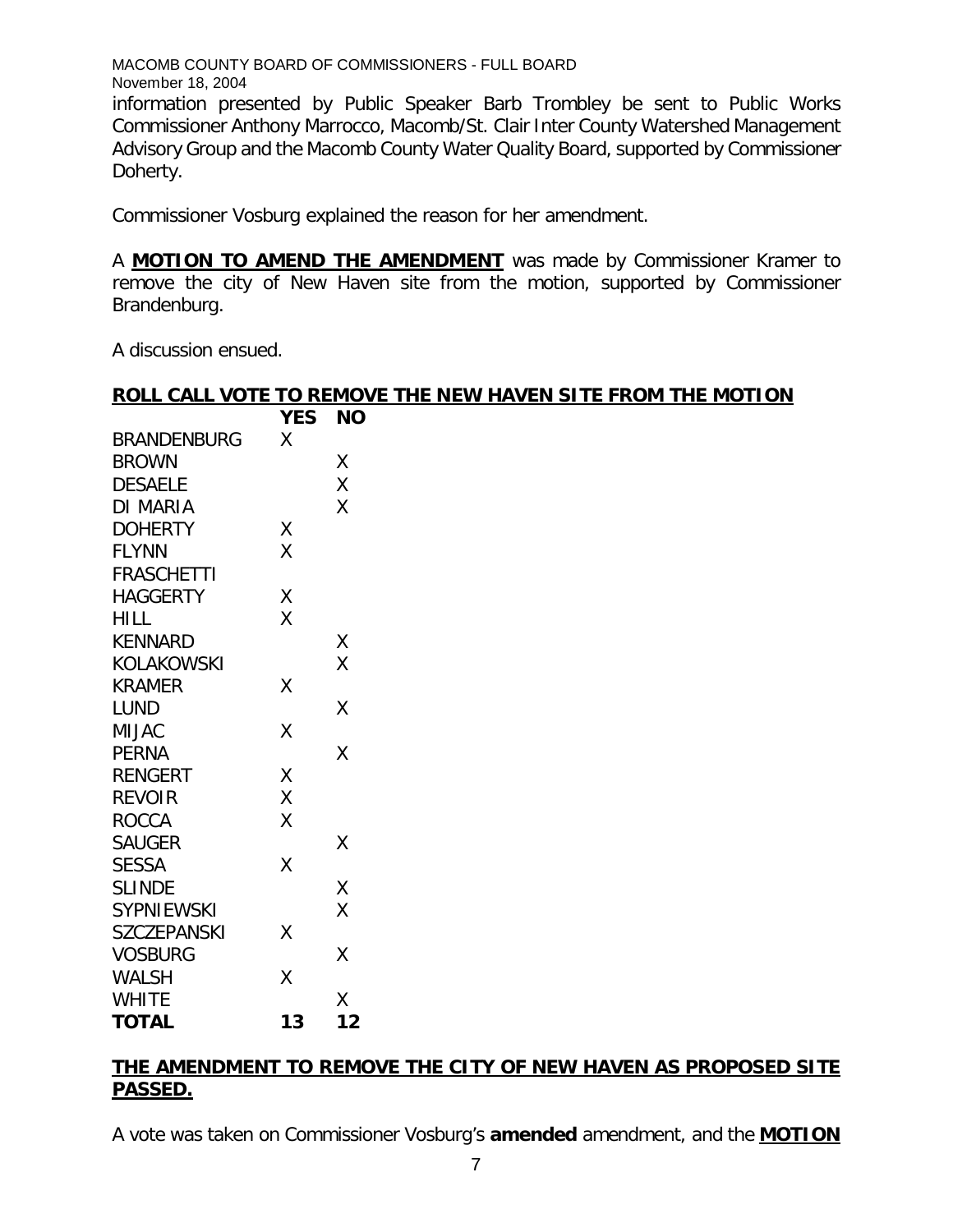information presented by Public Speaker Barb Trombley be sent to Public Works Commissioner Anthony Marrocco, Macomb/St. Clair Inter County Watershed Management Advisory Group and the Macomb County Water Quality Board, supported by Commissioner Doherty.

Commissioner Vosburg explained the reason for her amendment.

A **MOTION TO AMEND THE AMENDMENT** was made by Commissioner Kramer to remove the city of New Haven site from the motion, supported by Commissioner Brandenburg.

A discussion ensued.

|                    |            | ROLL CALL VOTE TO REMOVE THE NEW HAVEN SITE FROM THE MOTION |
|--------------------|------------|-------------------------------------------------------------|
|                    | <b>YES</b> | <b>NO</b>                                                   |
| <b>BRANDENBURG</b> | χ          |                                                             |
| <b>BROWN</b>       |            | Χ                                                           |
| <b>DESAELE</b>     |            | X                                                           |
| <b>DI MARIA</b>    |            | X                                                           |
| <b>DOHERTY</b>     | Χ          |                                                             |
| <b>FLYNN</b>       | X          |                                                             |
| <b>FRASCHETTI</b>  |            |                                                             |
| <b>HAGGERTY</b>    | Χ          |                                                             |
| <b>HILL</b>        | X          |                                                             |
| <b>KENNARD</b>     |            | X                                                           |
| <b>KOLAKOWSKI</b>  |            | X                                                           |
| <b>KRAMER</b>      | X          |                                                             |
| <b>LUND</b>        |            | Χ                                                           |
| <b>MIJAC</b>       | Χ          |                                                             |
| <b>PERNA</b>       |            | Χ                                                           |
| <b>RENGERT</b>     | Χ          |                                                             |
| <b>REVOIR</b>      | Χ          |                                                             |
| <b>ROCCA</b>       | X          |                                                             |
| <b>SAUGER</b>      |            | X                                                           |
| <b>SESSA</b>       | X          |                                                             |
| <b>SLINDE</b>      |            | Χ                                                           |
| SYPNIEWSKI         |            | X                                                           |
| SZCZEPANSKI        | X          |                                                             |
| <b>VOSBURG</b>     |            | Χ                                                           |
| <b>WALSH</b>       | X          |                                                             |
| <b>WHITE</b>       |            | Χ                                                           |
| <b>TOTAL</b>       | 13         | 12                                                          |

# **THE AMENDMENT TO REMOVE THE CITY OF NEW HAVEN AS PROPOSED SITE PASSED.**

A vote was taken on Commissioner Vosburg's **amended** amendment, and the **MOTION**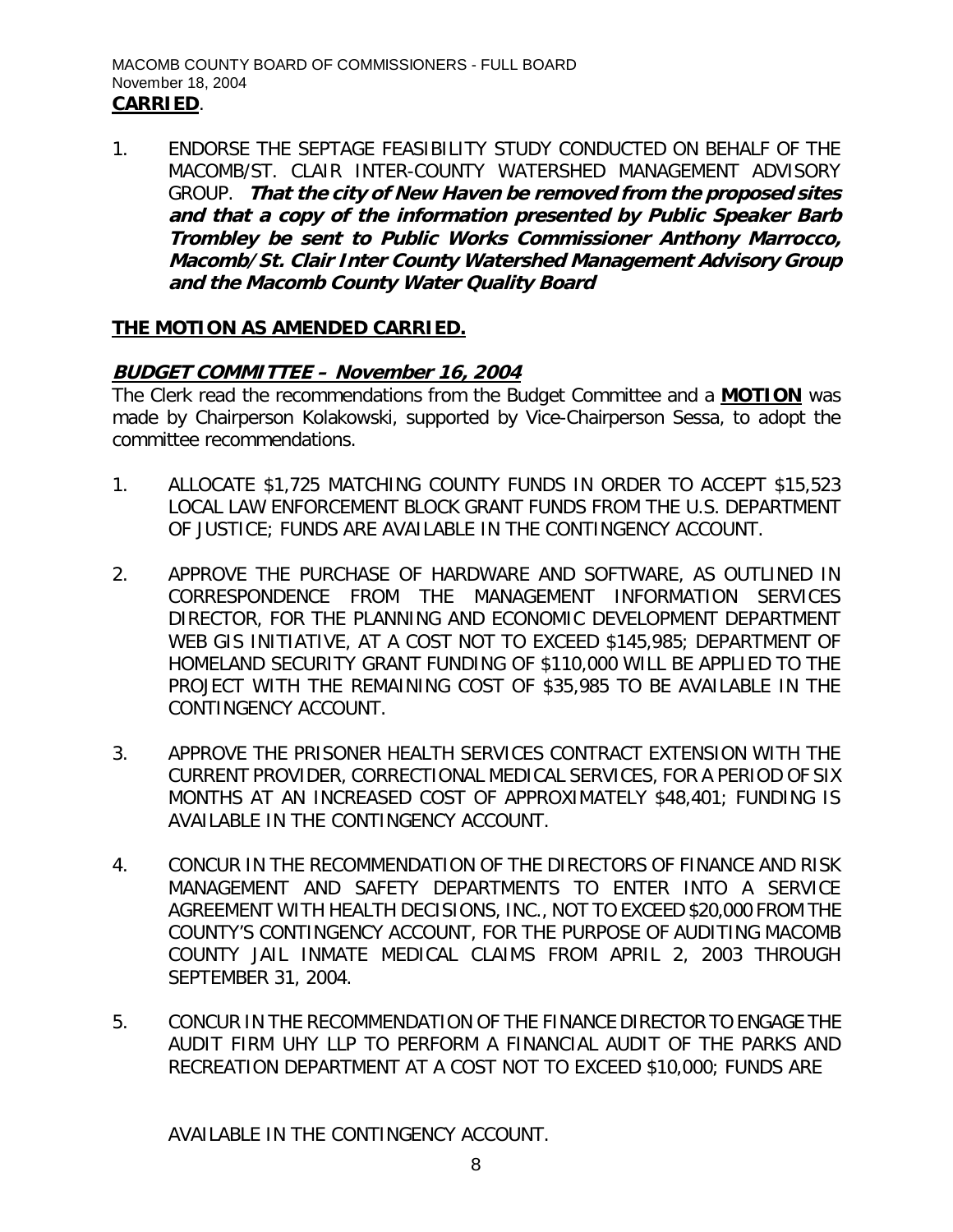1. ENDORSE THE SEPTAGE FEASIBILITY STUDY CONDUCTED ON BEHALF OF THE MACOMB/ST. CLAIR INTER-COUNTY WATERSHED MANAGEMENT ADVISORY GROUP. **That the city of New Haven be removed from the proposed sites and that a copy of the information presented by Public Speaker Barb Trombley be sent to Public Works Commissioner Anthony Marrocco, Macomb/St. Clair Inter County Watershed Management Advisory Group and the Macomb County Water Quality Board**

### **THE MOTION AS AMENDED CARRIED.**

## **BUDGET COMMITTEE – November 16, 2004**

The Clerk read the recommendations from the Budget Committee and a **MOTION** was made by Chairperson Kolakowski, supported by Vice-Chairperson Sessa, to adopt the committee recommendations.

- 1. ALLOCATE \$1,725 MATCHING COUNTY FUNDS IN ORDER TO ACCEPT \$15,523 LOCAL LAW ENFORCEMENT BLOCK GRANT FUNDS FROM THE U.S. DEPARTMENT OF JUSTICE; FUNDS ARE AVAILABLE IN THE CONTINGENCY ACCOUNT.
- 2. APPROVE THE PURCHASE OF HARDWARE AND SOFTWARE, AS OUTLINED IN CORRESPONDENCE FROM THE MANAGEMENT INFORMATION SERVICES DIRECTOR, FOR THE PLANNING AND ECONOMIC DEVELOPMENT DEPARTMENT WEB GIS INITIATIVE, AT A COST NOT TO EXCEED \$145,985; DEPARTMENT OF HOMELAND SECURITY GRANT FUNDING OF \$110,000 WILL BE APPLIED TO THE PROJECT WITH THE REMAINING COST OF \$35,985 TO BE AVAILABLE IN THE CONTINGENCY ACCOUNT.
- 3. APPROVE THE PRISONER HEALTH SERVICES CONTRACT EXTENSION WITH THE CURRENT PROVIDER, CORRECTIONAL MEDICAL SERVICES, FOR A PERIOD OF SIX MONTHS AT AN INCREASED COST OF APPROXIMATELY \$48,401; FUNDING IS AVAILABLE IN THE CONTINGENCY ACCOUNT.
- 4. CONCUR IN THE RECOMMENDATION OF THE DIRECTORS OF FINANCE AND RISK MANAGEMENT AND SAFETY DEPARTMENTS TO ENTER INTO A SERVICE AGREEMENT WITH HEALTH DECISIONS, INC., NOT TO EXCEED \$20,000 FROM THE COUNTY'S CONTINGENCY ACCOUNT, FOR THE PURPOSE OF AUDITING MACOMB COUNTY JAIL INMATE MEDICAL CLAIMS FROM APRIL 2, 2003 THROUGH SEPTEMBER 31, 2004.
- 5. CONCUR IN THE RECOMMENDATION OF THE FINANCE DIRECTOR TO ENGAGE THE AUDIT FIRM UHY LLP TO PERFORM A FINANCIAL AUDIT OF THE PARKS AND RECREATION DEPARTMENT AT A COST NOT TO EXCEED \$10,000; FUNDS ARE

AVAILABLE IN THE CONTINGENCY ACCOUNT.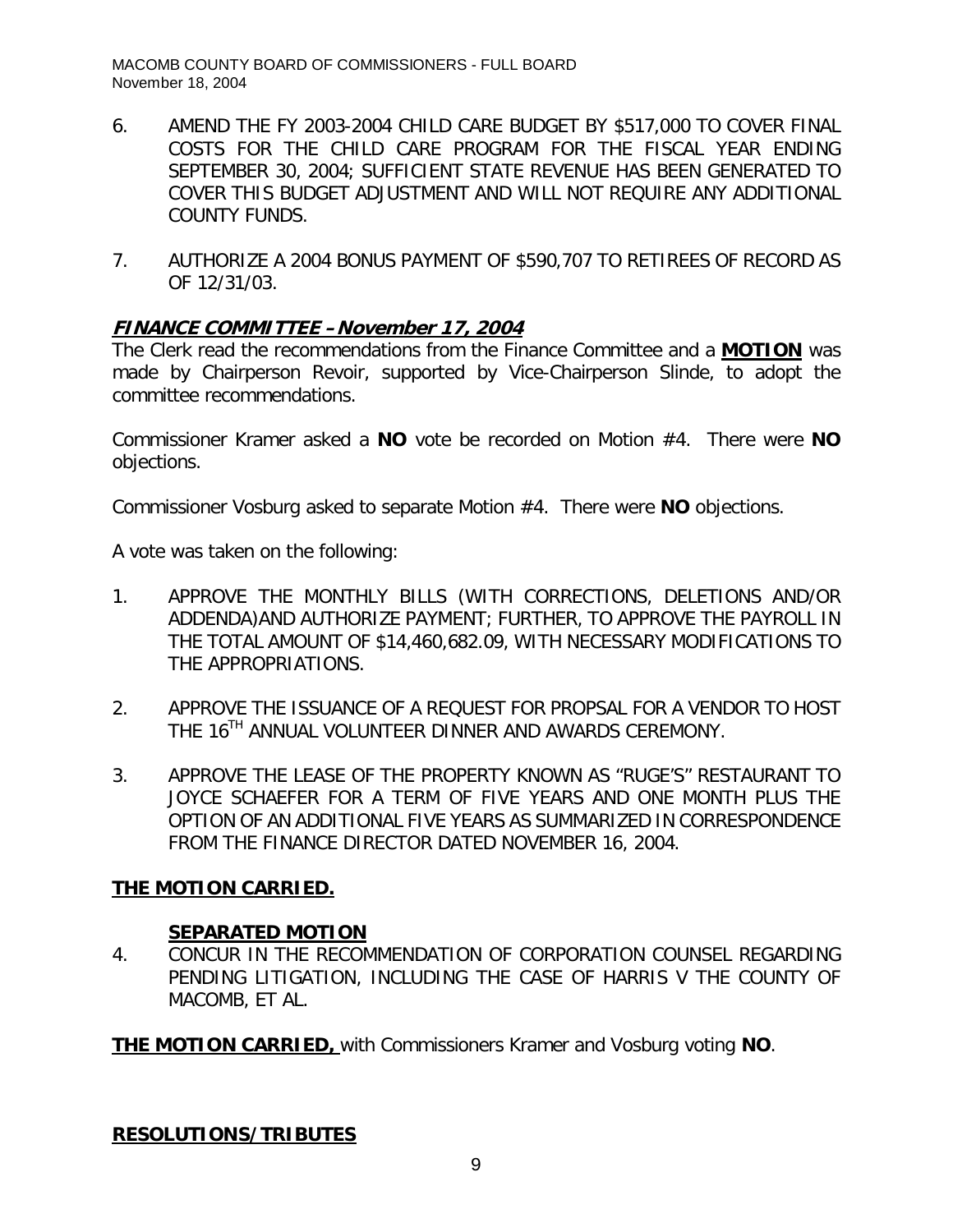- 6. AMEND THE FY 2003-2004 CHILD CARE BUDGET BY \$517,000 TO COVER FINAL COSTS FOR THE CHILD CARE PROGRAM FOR THE FISCAL YEAR ENDING SEPTEMBER 30, 2004; SUFFICIENT STATE REVENUE HAS BEEN GENERATED TO COVER THIS BUDGET ADJUSTMENT AND WILL NOT REQUIRE ANY ADDITIONAL COUNTY FUNDS.
- 7. AUTHORIZE A 2004 BONUS PAYMENT OF \$590,707 TO RETIREES OF RECORD AS OF 12/31/03.

## **FINANCE COMMITTEE –November 17, 2004**

The Clerk read the recommendations from the Finance Committee and a **MOTION** was made by Chairperson Revoir, supported by Vice-Chairperson Slinde, to adopt the committee recommendations.

Commissioner Kramer asked a **NO** vote be recorded on Motion #4. There were **NO** objections.

Commissioner Vosburg asked to separate Motion #4. There were **NO** objections.

A vote was taken on the following:

- 1. APPROVE THE MONTHLY BILLS (WITH CORRECTIONS, DELETIONS AND/OR ADDENDA)AND AUTHORIZE PAYMENT; FURTHER, TO APPROVE THE PAYROLL IN THE TOTAL AMOUNT OF \$14,460,682.09, WITH NECESSARY MODIFICATIONS TO THE APPROPRIATIONS.
- 2. APPROVE THE ISSUANCE OF A REQUEST FOR PROPSAL FOR A VENDOR TO HOST THE 16<sup>TH</sup> ANNUAL VOLUNTEER DINNER AND AWARDS CEREMONY.
- 3. APPROVE THE LEASE OF THE PROPERTY KNOWN AS "RUGE'S" RESTAURANT TO JOYCE SCHAEFER FOR A TERM OF FIVE YEARS AND ONE MONTH PLUS THE OPTION OF AN ADDITIONAL FIVE YEARS AS SUMMARIZED IN CORRESPONDENCE FROM THE FINANCE DIRECTOR DATED NOVEMBER 16, 2004.

### **THE MOTION CARRIED.**

# **SEPARATED MOTION**

4. CONCUR IN THE RECOMMENDATION OF CORPORATION COUNSEL REGARDING PENDING LITIGATION, INCLUDING THE CASE OF HARRIS V THE COUNTY OF MACOMB, ET AL.

**THE MOTION CARRIED,** with Commissioners Kramer and Vosburg voting **NO**.

**RESOLUTIONS/TRIBUTES**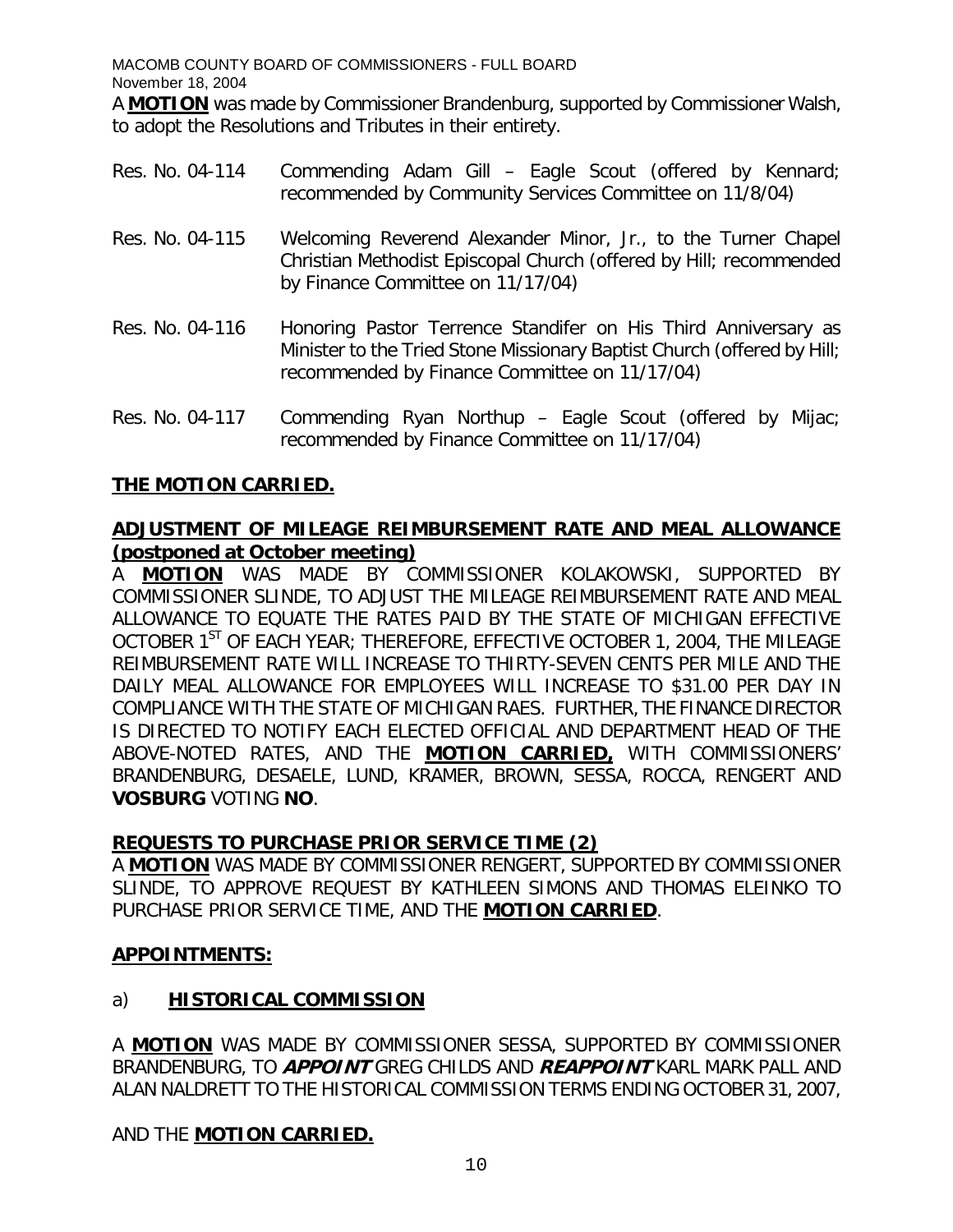MACOMB COUNTY BOARD OF COMMISSIONERS - FULL BOARD November 18, 2004 A **MOTION** was made by Commissioner Brandenburg, supported by Commissioner Walsh, to adopt the Resolutions and Tributes in their entirety.

- Res. No. 04-114 Commending Adam Gill Eagle Scout (offered by Kennard; recommended by Community Services Committee on 11/8/04)
- Res. No. 04-115 Welcoming Reverend Alexander Minor, Jr., to the Turner Chapel Christian Methodist Episcopal Church (offered by Hill; recommended by Finance Committee on 11/17/04)
- Res. No. 04-116 Honoring Pastor Terrence Standifer on His Third Anniversary as Minister to the Tried Stone Missionary Baptist Church (offered by Hill; recommended by Finance Committee on 11/17/04)
- Res. No. 04-117 Commending Ryan Northup Eagle Scout (offered by Mijac; recommended by Finance Committee on 11/17/04)

# **THE MOTION CARRIED.**

# **ADJUSTMENT OF MILEAGE REIMBURSEMENT RATE AND MEAL ALLOWANCE (postponed at October meeting)**

A **MOTION** WAS MADE BY COMMISSIONER KOLAKOWSKI, SUPPORTED BY COMMISSIONER SLINDE, TO ADJUST THE MILEAGE REIMBURSEMENT RATE AND MEAL ALLOWANCE TO EQUATE THE RATES PAID BY THE STATE OF MICHIGAN EFFECTIVE OCTOBER 1<sup>ST</sup> OF EACH YEAR; THEREFORE, EFFECTIVE OCTOBER 1, 2004, THE MILEAGE REIMBURSEMENT RATE WILL INCREASE TO THIRTY-SEVEN CENTS PER MILE AND THE DAILY MEAL ALLOWANCE FOR EMPLOYEES WILL INCREASE TO \$31.00 PER DAY IN COMPLIANCE WITH THE STATE OF MICHIGAN RAES. FURTHER, THE FINANCE DIRECTOR IS DIRECTED TO NOTIFY EACH ELECTED OFFICIAL AND DEPARTMENT HEAD OF THE ABOVE-NOTED RATES, AND THE **MOTION CARRIED,** WITH COMMISSIONERS' BRANDENBURG, DESAELE, LUND, KRAMER, BROWN, SESSA, ROCCA, RENGERT AND **VOSBURG** VOTING **NO**.

**REQUESTS TO PURCHASE PRIOR SERVICE TIME (2)**

A **MOTION** WAS MADE BY COMMISSIONER RENGERT, SUPPORTED BY COMMISSIONER SLINDE, TO APPROVE REQUEST BY KATHLEEN SIMONS AND THOMAS ELEINKO TO PURCHASE PRIOR SERVICE TIME, AND THE **MOTION CARRIED**.

### **APPOINTMENTS:**

# a) **HISTORICAL COMMISSION**

A **MOTION** WAS MADE BY COMMISSIONER SESSA, SUPPORTED BY COMMISSIONER BRANDENBURG, TO **APPOINT** GREG CHILDS AND **REAPPOINT** KARL MARK PALL AND ALAN NALDRETT TO THE HISTORICAL COMMISSION TERMS ENDING OCTOBER 31, 2007,

AND THE **MOTION CARRIED.**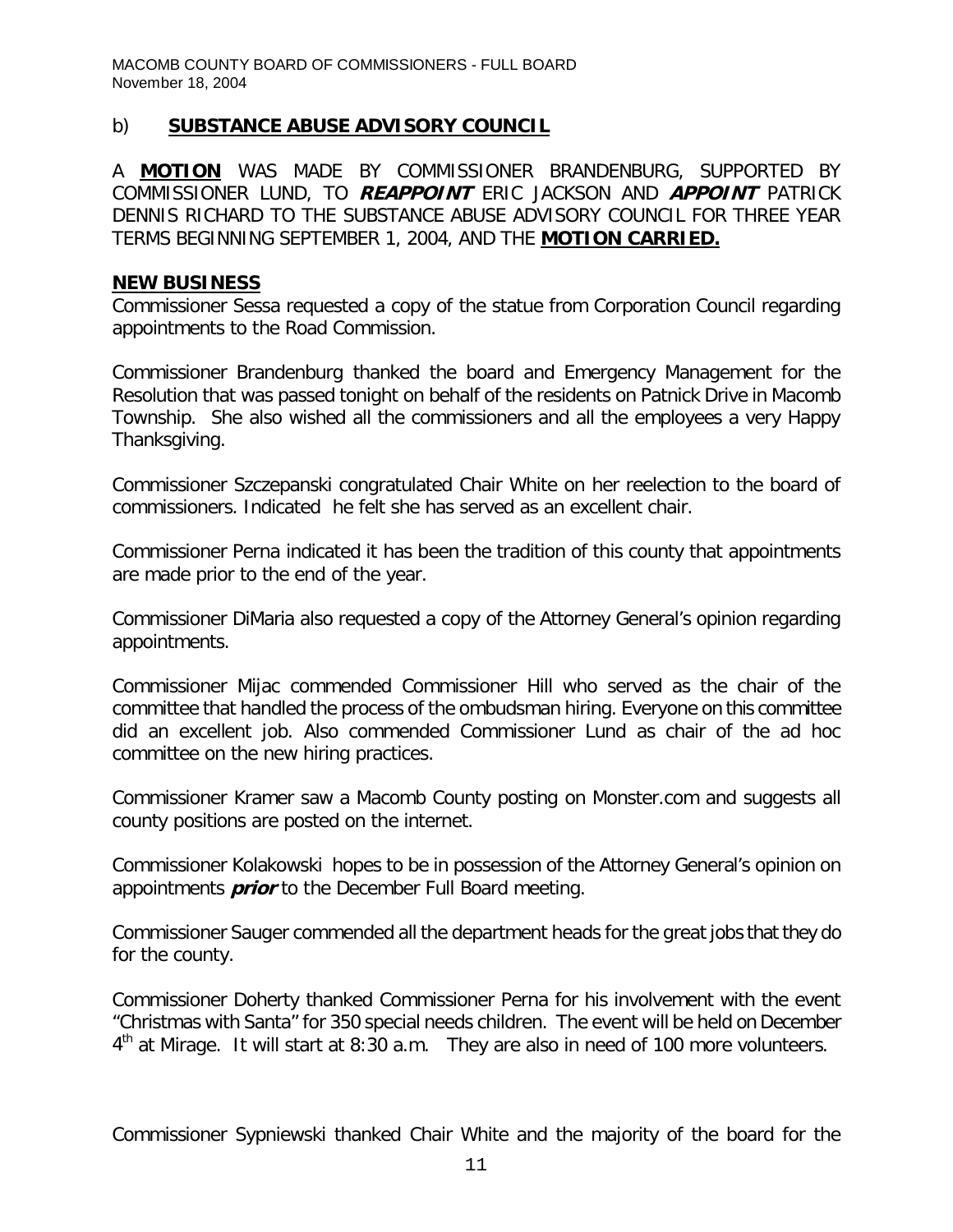### b) **SUBSTANCE ABUSE ADVISORY COUNCIL**

A **MOTION** WAS MADE BY COMMISSIONER BRANDENBURG, SUPPORTED BY COMMISSIONER LUND, TO **REAPPOINT** ERIC JACKSON AND **APPOINT** PATRICK DENNIS RICHARD TO THE SUBSTANCE ABUSE ADVISORY COUNCIL FOR THREE YEAR TERMS BEGINNING SEPTEMBER 1, 2004, AND THE **MOTION CARRIED.**

### **NEW BUSINESS**

Commissioner Sessa requested a copy of the statue from Corporation Council regarding appointments to the Road Commission.

Commissioner Brandenburg thanked the board and Emergency Management for the Resolution that was passed tonight on behalf of the residents on Patnick Drive in Macomb Township. She also wished all the commissioners and all the employees a very Happy Thanksgiving.

Commissioner Szczepanski congratulated Chair White on her reelection to the board of commissioners. Indicated he felt she has served as an excellent chair.

Commissioner Perna indicated it has been the tradition of this county that appointments are made prior to the end of the year.

Commissioner DiMaria also requested a copy of the Attorney General's opinion regarding appointments.

Commissioner Mijac commended Commissioner Hill who served as the chair of the committee that handled the process of the ombudsman hiring. Everyone on this committee did an excellent job. Also commended Commissioner Lund as chair of the ad hoc committee on the new hiring practices.

Commissioner Kramer saw a Macomb County posting on Monster.com and suggests all county positions are posted on the internet.

Commissioner Kolakowski hopes to be in possession of the Attorney General's opinion on appointments **prior** to the December Full Board meeting.

Commissioner Sauger commended all the department heads for the great jobs that they do for the county.

Commissioner Doherty thanked Commissioner Perna for his involvement with the event "Christmas with Santa" for 350 special needs children. The event will be held on December  $4<sup>th</sup>$  at Mirage. It will start at 8:30 a.m. They are also in need of 100 more volunteers.

Commissioner Sypniewski thanked Chair White and the majority of the board for the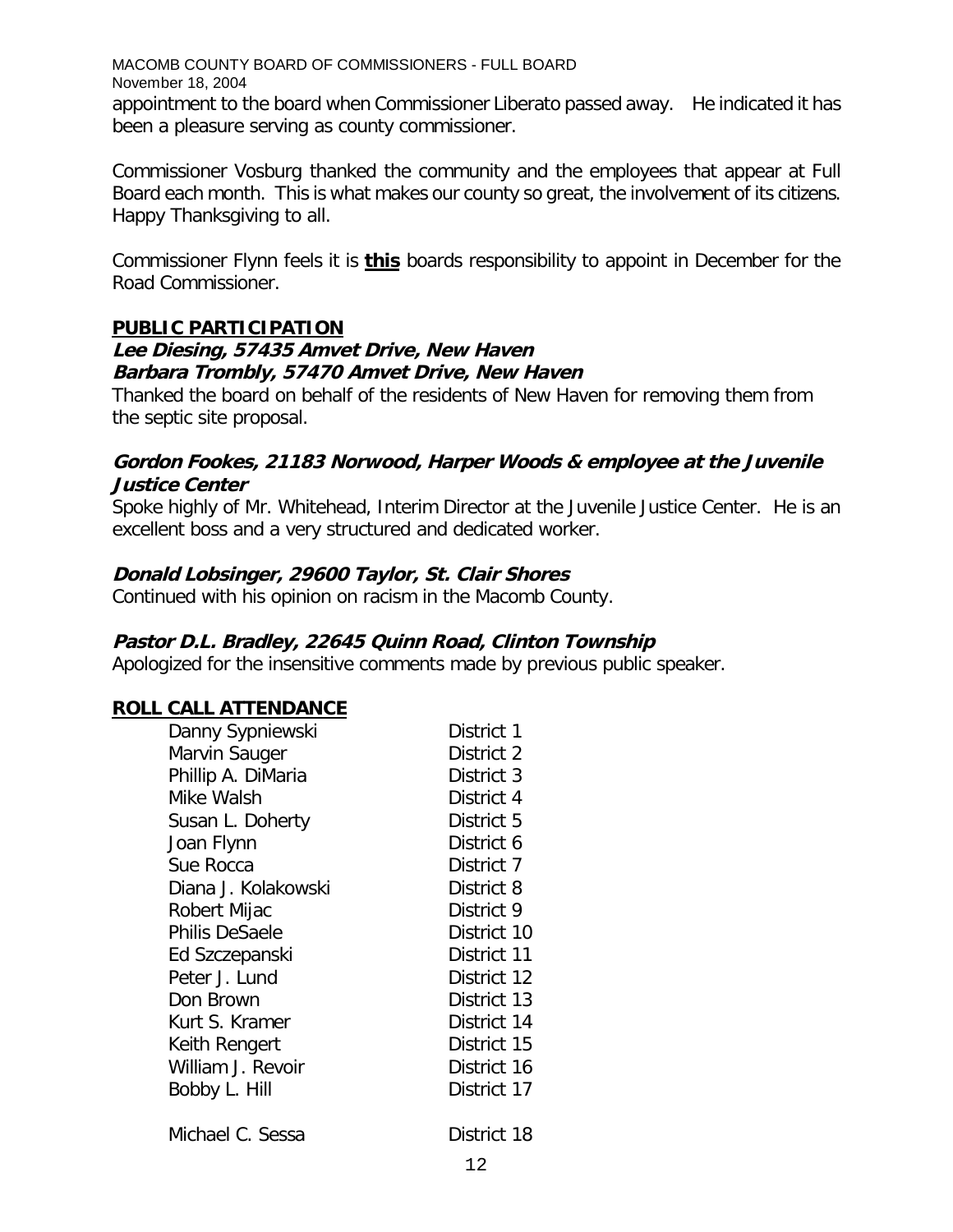MACOMB COUNTY BOARD OF COMMISSIONERS - FULL BOARD November 18, 2004 appointment to the board when Commissioner Liberato passed away. He indicated it has been a pleasure serving as county commissioner.

Commissioner Vosburg thanked the community and the employees that appear at Full Board each month. This is what makes our county so great, the involvement of its citizens. Happy Thanksgiving to all.

Commissioner Flynn feels it is **this** boards responsibility to appoint in December for the Road Commissioner.

### **PUBLIC PARTICIPATION**

**Lee Diesing, 57435 Amvet Drive, New Haven Barbara Trombly, 57470 Amvet Drive, New Haven** Thanked the board on behalf of the residents of New Haven for removing them from the septic site proposal.

**Gordon Fookes, 21183 Norwood, Harper Woods & employee at the Juvenile Justice Center**

Spoke highly of Mr. Whitehead, Interim Director at the Juvenile Justice Center. He is an excellent boss and a very structured and dedicated worker.

**Donald Lobsinger, 29600 Taylor, St. Clair Shores** Continued with his opinion on racism in the Macomb County.

**Pastor D.L. Bradley, 22645 Quinn Road, Clinton Township** Apologized for the insensitive comments made by previous public speaker.

### **ROLL CALL ATTENDANCE**

| Danny Sypniewski      | District 1  |
|-----------------------|-------------|
| Marvin Sauger         | District 2  |
| Phillip A. DiMaria    | District 3  |
| Mike Walsh            | District 4  |
| Susan L. Doherty      | District 5  |
| Joan Flynn            | District 6  |
| Sue Rocca             | District 7  |
| Diana J. Kolakowski   | District 8  |
| Robert Mijac          | District 9  |
| <b>Philis DeSaele</b> | District 10 |
| Ed Szczepanski        | District 11 |
| Peter J. Lund         | District 12 |
| Don Brown             | District 13 |
| Kurt S. Kramer        | District 14 |
| Keith Rengert         | District 15 |
| William J. Revoir     | District 16 |
| Bobby L. Hill         | District 17 |
| Michael C. Sessa      | District 18 |